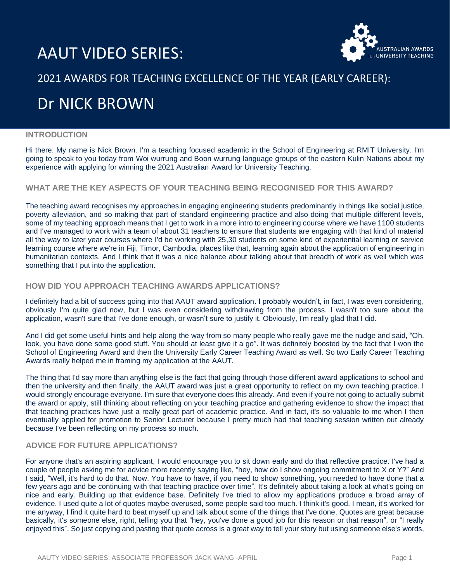# AAUT VIDEO SERIES:



### 2021 AWARDS FOR TEACHING EXCELLENCE OF THE YEAR (EARLY CAREER):

## Dr NICK BROWN

#### **INTRODUCTION**

Hi there. My name is Nick Brown. I'm a teaching focused academic in the School of Engineering at RMIT University. I'm going to speak to you today from Woi wurrung and Boon wurrung language groups of the eastern Kulin Nations about my experience with applying for winning the 2021 Australian Award for University Teaching.

#### **WHAT ARE THE KEY ASPECTS OF YOUR TEACHING BEING RECOGNISED FOR THIS AWARD?**

The teaching award recognises my approaches in engaging engineering students predominantly in things like social justice, poverty alleviation, and so making that part of standard engineering practice and also doing that multiple different levels, some of my teaching approach means that I get to work in a more intro to engineering course where we have 1100 students and I've managed to work with a team of about 31 teachers to ensure that students are engaging with that kind of material all the way to later year courses where I'd be working with 25,30 students on some kind of experiential learning or service learning course where we're in Fiji, Timor, Cambodia, places like that, learning again about the application of engineering in humanitarian contexts. And I think that it was a nice balance about talking about that breadth of work as well which was something that I put into the application.

#### **HOW DID YOU APPROACH TEACHING AWARDS APPLICATIONS?**

I definitely had a bit of success going into that AAUT award application. I probably wouldn't, in fact, I was even considering, obviously I'm quite glad now, but I was even considering withdrawing from the process. I wasn't too sure about the application, wasn't sure that I've done enough, or wasn't sure to justify it. Obviously, I'm really glad that I did.

And I did get some useful hints and help along the way from so many people who really gave me the nudge and said, "Oh, look, you have done some good stuff. You should at least give it a go". It was definitely boosted by the fact that I won the School of Engineering Award and then the University Early Career Teaching Award as well. So two Early Career Teaching Awards really helped me in framing my application at the AAUT.

The thing that I'd say more than anything else is the fact that going through those different award applications to school and then the university and then finally, the AAUT award was just a great opportunity to reflect on my own teaching practice. I would strongly encourage everyone. I'm sure that everyone does this already. And even if you're not going to actually submit the award or apply, still thinking about reflecting on your teaching practice and gathering evidence to show the impact that that teaching practices have just a really great part of academic practice. And in fact, it's so valuable to me when I then eventually applied for promotion to Senior Lecturer because I pretty much had that teaching session written out already because I've been reflecting on my process so much.

#### **ADVICE FOR FUTURE APPLICATIONS?**

For anyone that's an aspiring applicant, I would encourage you to sit down early and do that reflective practice. I've had a couple of people asking me for advice more recently saying like, "hey, how do I show ongoing commitment to X or Y?" And I said, "Well, it's hard to do that. Now. You have to have, if you need to show something, you needed to have done that a few years ago and be continuing with that teaching practice over time". It's definitely about taking a look at what's going on nice and early. Building up that evidence base. Definitely I've tried to allow my applications produce a broad array of evidence. I used quite a lot of quotes maybe overused, some people said too much. I think it's good. I mean, it's worked for me anyway, I find it quite hard to beat myself up and talk about some of the things that I've done. Quotes are great because basically, it's someone else, right, telling you that "hey, you've done a good job for this reason or that reason", or "I really enjoyed this". So just copying and pasting that quote across is a great way to tell your story but using someone else's words,